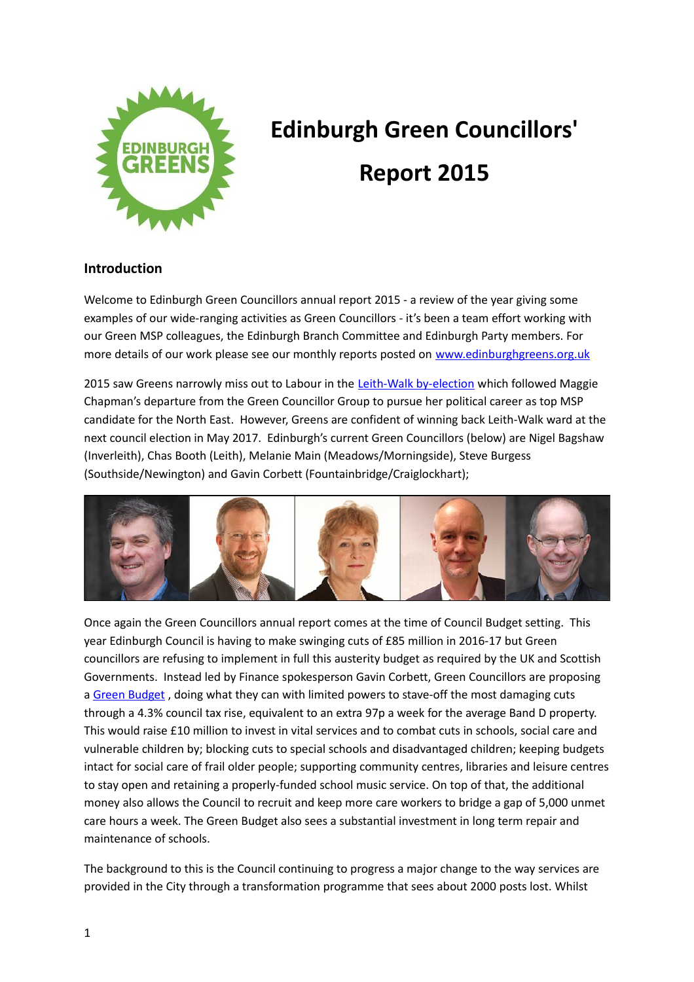

# **Edinburgh Green Councillors' Report 2015**

# **Introduction**

Welcome to Edinburgh Green Councillors annual report 2015 - a review of the year giving some examples of our wide-ranging activities as Green Councillors - it's been a team effort working with our Green MSP colleagues, the Edinburgh Branch Committee and Edinburgh Party members. For more details of our work please see our monthly reports posted on [www.edinburghgreens.org.uk](http://www.edinburghgreens.org.uk/)

2015 saw Greens narrowly miss out to Labour in the [Leith-Walk by-election](http://www.edinburghgreens.org.uk/site/news/leith-walk-2015-result/) which followed Maggie Chapman's departure from the Green Councillor Group to pursue her political career as top MSP candidate for the North East. However, Greens are confident of winning back Leith-Walk ward at the next council election in May 2017. Edinburgh's current Green Councillors (below) are Nigel Bagshaw (Inverleith), Chas Booth (Leith), Melanie Main (Meadows/Morningside), Steve Burgess (Southside/Newington) and Gavin Corbett (Fountainbridge/Craiglockhart);



Once again the Green Councillors annual report comes at the time of Council Budget setting. This year Edinburgh Council is having to make swinging cuts of £85 million in 2016-17 but Green councillors are refusing to implement in full this austerity budget as required by the UK and Scottish Governments. Instead led by Finance spokesperson Gavin Corbett, Green Councillors are proposing a Green Budget, doing what they can with limited powers to stave-off the most damaging cuts through a 4.3% council tax rise, equivalent to an extra 97p a week for the average Band D property. This would raise £10 million to invest in vital services and to combat cuts in schools, social care and vulnerable children by; blocking cuts to special schools and disadvantaged children; keeping budgets intact for social care of frail older people; supporting community centres, libraries and leisure centres to stay open and retaining a properly-funded school music service. On top of that, the additional money also allows the Council to recruit and keep more care workers to bridge a gap of 5,000 unmet care hours a week. The Green Budget also sees a substantial investment in long term repair and maintenance of schools.

The background to this is the Council continuing to progress a major change to the way services are provided in the City through a transformation programme that sees about 2000 posts lost. Whilst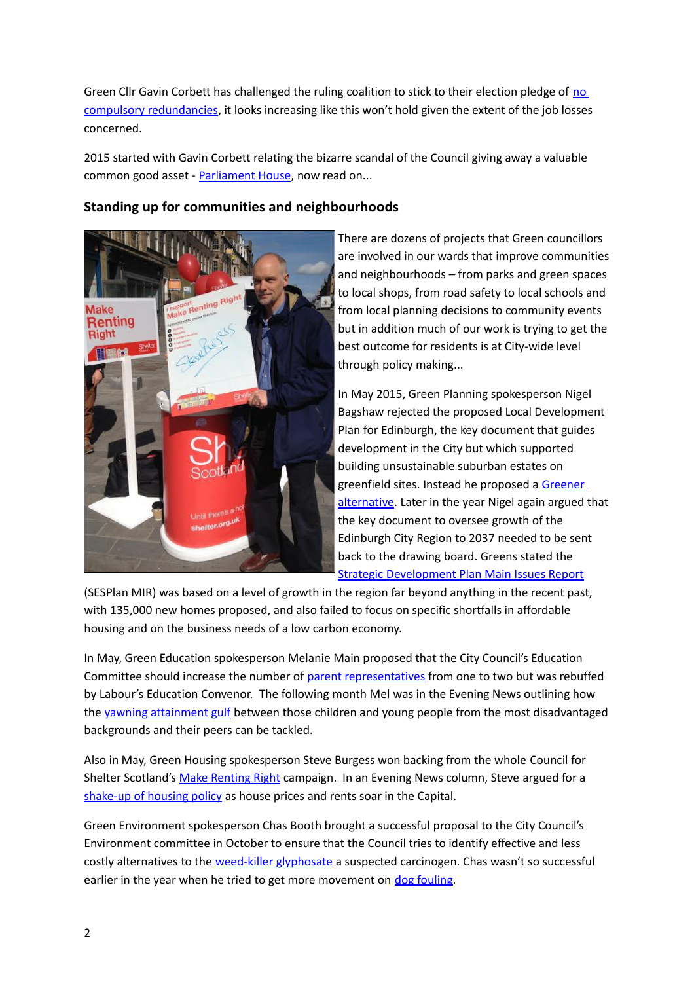Green Cllr Gavin Corbett has challenged the ruling coalition to stick to their election pledge of no [compulsory redundancies,](http://www.edinburghgreens.org.uk/site/news/redundancy-news/) it looks increasing like this won't hold given the extent of the job losses concerned.

2015 started with Gavin Corbett relating the bizarre scandal of the Council giving away a valuable common good asset - [Parliament House,](http://www.edinburghgreens.org.uk/site/blog/parliament-house-forward/) now read on...

# **Standing up for communities and neighbourhoods**



There are dozens of projects that Green councillors are involved in our wards that improve communities and neighbourhoods – from parks and green spaces to local shops, from road safety to local schools and from local planning decisions to community events but in addition much of our work is trying to get the best outcome for residents is at City-wide level through policy making...

In May 2015, Green Planning spokesperson Nigel Bagshaw rejected the proposed Local Development Plan for Edinburgh, the key document that guides development in the City but which supported building unsustainable suburban estates on greenfield sites. Instead he proposed a Greener [alternative.](http://www.edinburghgreens.org.uk/site/blog/ldp-may-2015/) Later in the year Nigel again argued that the key document to oversee growth of the Edinburgh City Region to 2037 needed to be sent back to the drawing board. Greens stated the [Strategic Development Plan Main Issues Report](http://www.edinburghgreens.org.uk/site/news/sesplan-mir/)

(SESPlan MIR) was based on a level of growth in the region far beyond anything in the recent past, with 135,000 new homes proposed, and also failed to focus on specific shortfalls in affordable housing and on the business needs of a low carbon economy.

In May, Green Education spokesperson Melanie Main proposed that the City Council's Education Committee should increase the number of [parent representatives](http://www.edinburghgreens.org.uk/site/blog/parent-voice/) from one to two but was rebuffed by Labour's Education Convenor.The following month Mel was in the Evening News outlining how the [yawning attainment gulf](http://www.edinburghnews.scotsman.com/news/opinion/melanie-main-plenty-of-ways-to-level-playing-field-1-3816631) between those children and young people from the most disadvantaged backgrounds and their peers can be tackled.

Also in May, Green Housing spokesperson Steve Burgess won backing from the whole Council for Shelter Scotland's [Make Renting Right](http://www.edinburghgreens.org.uk/site/blog/make-renting-right/) campaign. In an Evening News column, Steve argued for a [shake-up of housing policy](http://www.edinburghnews.scotsman.com/news/opinion/steve-burgess-we-need-radical-ideas-to-build-on-1-3880826) as house prices and rents soar in the Capital.

Green Environment spokesperson Chas Booth brought a successful proposal to the City Council's Environment committee in October to ensure that the Council tries to identify effective and less costly alternatives to the [weed-killer glyphosate](http://www.edinburghgreens.org.uk/site/blog/glyphosate/) a suspected carcinogen. Chas wasn't so successful earlier in the year when he tried to get more movement on [dog fouling.](http://www.edinburghgreens.org.uk/site/blog/dog-fouling/)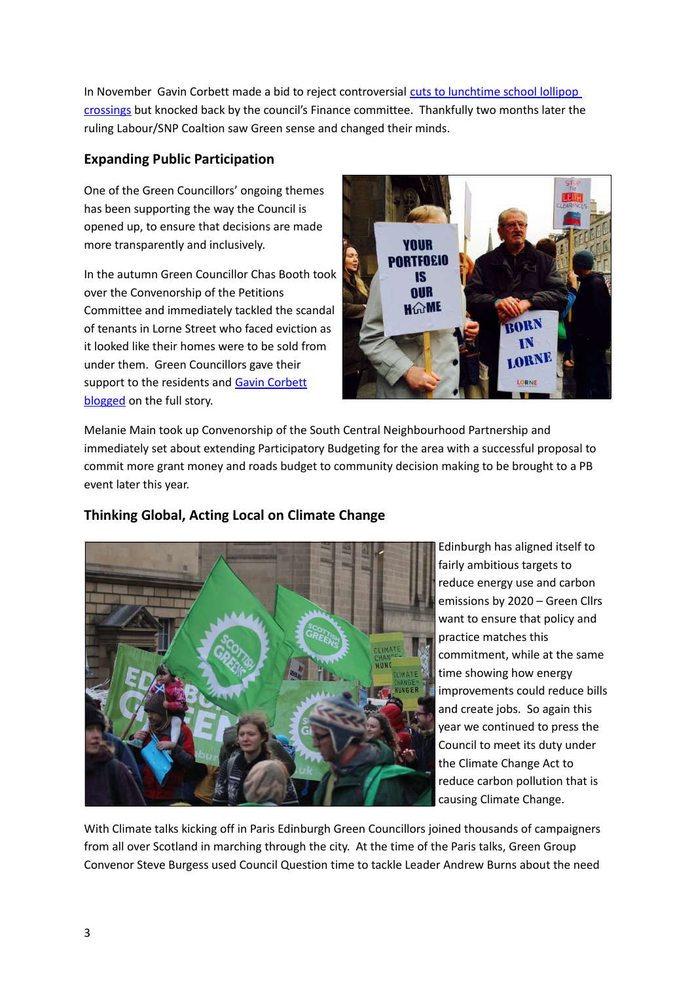In November Gavin Corbett made a bid to reject controversial cuts to lunchtime school lollipop [crossings](http://www.edinburghgreens.org.uk/site/news/lollipop-crossings/) but knocked back by the council's Finance committee. Thankfully two months later the ruling Labour/SNP Coaltion saw Green sense and changed their minds.

#### **Expanding Public Participation**

One of the Green Councillors' ongoing themes has been supporting the way the Council is opened up, to ensure that decisions are made more transparently and inclusively.

In the autumn Green Councillor Chas Booth took over the Convenorship of the Petitions Committee and immediately tackled the scandal of tenants in Lorne Street who faced eviction as it looked like their homes were to be sold from under them. Green Councillors gave their support to the residents and [Gavin Corbett](http://www.edinburghgreens.org.uk/site/blog/lorne-street-2/) [blogged](http://www.edinburghgreens.org.uk/site/blog/lorne-street-2/) on the full story.



Melanie Main took up Convenorship of the South Central Neighbourhood Partnership and immediately set about extending Participatory Budgeting for the area with a successful proposal to commit more grant money and roads budget to community decision making to be brought to a PB event later this year.



# **Thinking Global, Acting Local on Climate Change**

Edinburgh has aligned itself to fairly ambitious targets to reduce energy use and carbon emissions by 2020 – Green Cllrs want to ensure that policy and practice matches this commitment, while at the same time showing how energy improvements could reduce bills and create jobs. So again this year we continued to press the Council to meet its duty under the Climate Change Act to reduce carbon pollution that is causing Climate Change.

With Climate talks kicking off in Paris Edinburgh Green Councillors joined thousands of campaigners from all over Scotland in marching through the city. At the time of the Paris talks, Green Group Convenor Steve Burgess used Council Question time to tackle Leader Andrew Burns about the need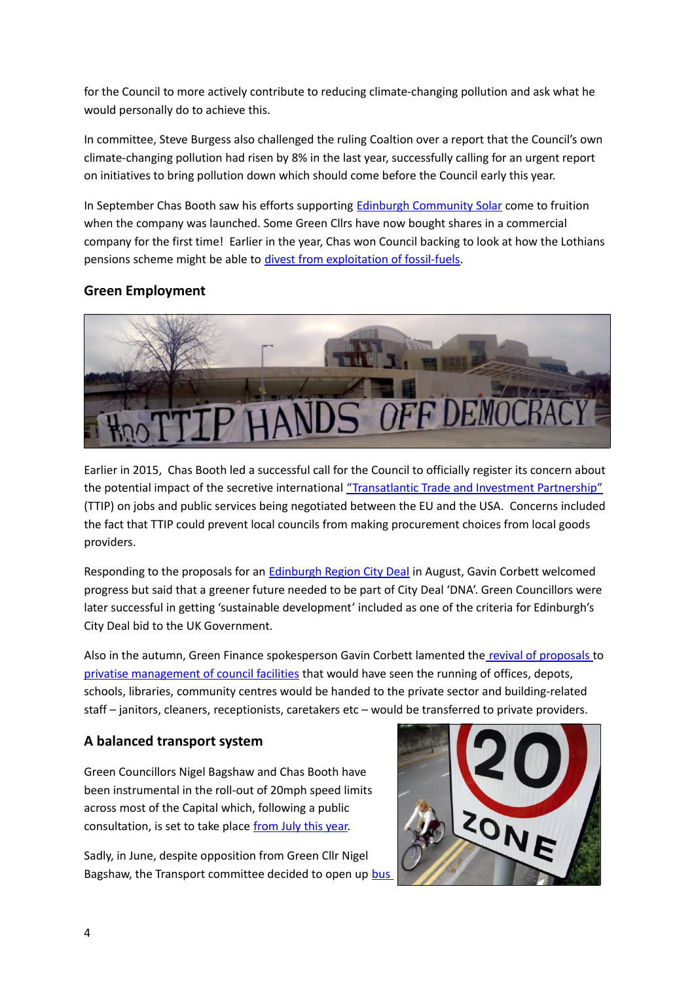for the Council to more actively contribute to reducing climate-changing pollution and ask what he would personally do to achieve this.

In committee, Steve Burgess also challenged the ruling Coaltion over a report that the Council's own climate-changing pollution had risen by 8% in the last year, successfully calling for an urgent report on initiatives to bring pollution down which should come before the Council early this year.

In September Chas Booth saw his efforts supporting [Edinburgh Community Solar](http://www.edinburghgreens.org.uk/site/blog/solar-co-op/) come to fruition when the company was launched. Some Green Cllrs have now bought shares in a commercial company for the first time! Earlier in the year, Chas won Council backing to look at how the Lothians pensions scheme might be able to [divest from exploitation of fossil-fuels.](http://www.edinburghgreens.org.uk/site/blog/pensions-fossil-fuels/)

## **Green Employment**



Earlier in 2015, Chas Booth led a successful call for the Council to officially register its concern about the potential impact of the secretive international ["Transatlantic Trade and Investment Partnership"](http://www.edinburghgreens.org.uk/site/blog/ttip-success/) (TTIP) on jobs and public services being negotiated between the EU and the USA. Concerns included the fact that TTIP could prevent local councils from making procurement choices from local goods providers.

Responding to the proposals for an [Edinburgh Region City Deal](http://www.edinburghgreens.org.uk/site/news/city-deal-greener/) in August, Gavin Corbett welcomed progress but said that a greener future needed to be part of City Deal 'DNA'. Green Councillors were later successful in getting 'sustainable development' included as one of the criteria for Edinburgh's City Deal bid to the UK Government.

Also in the autumn, Green Finance spokesperson Gavin Corbett lamented th[e revival of proposals](http://www.edinburgh.gov.uk/download/meetings/id/48292/item_72_-_transformation_programme_property_and_asset_management_strategy) to [privatise management of council facilities](http://www.edinburghgreens.org.uk/site/blog/ams/) that would have seen the running of offices, depots, schools, libraries, community centres would be handed to the private sector and building-related staff – janitors, cleaners, receptionists, caretakers etc – would be transferred to private providers.

## **A balanced transport system**

Green Councillors Nigel Bagshaw and Chas Booth have been instrumental in the roll-out of 20mph speed limits across most of the Capital which, following a public consultation, is set to take place [from July this year.](http://www.edinburghnews.scotsman.com/news/20mph-speed-limit-gets-green-light-for-edinburgh-1-3994042)

Sadly, in June, despite opposition from Green Cllr Nigel Bagshaw, the Transport committee decided to open up bus